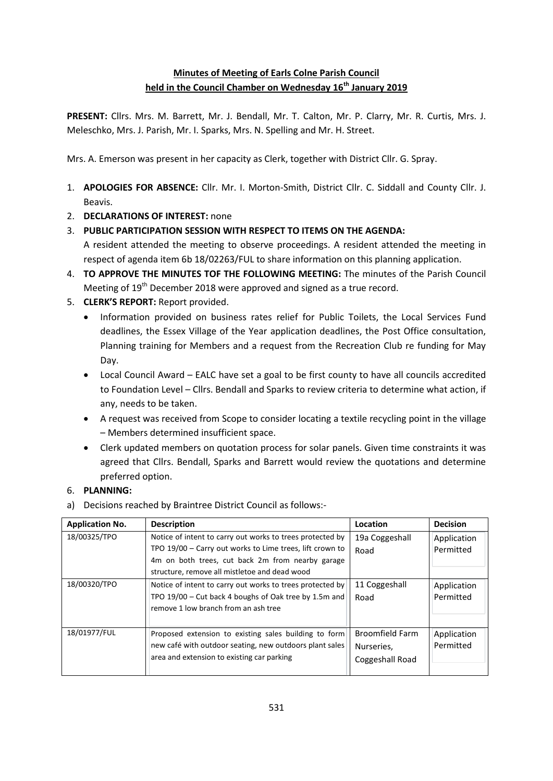## **Minutes of Meeting of Earls Colne Parish Council held in the Council Chamber on Wednesday 16th January 2019**

**PRESENT:** Cllrs. Mrs. M. Barrett, Mr. J. Bendall, Mr. T. Calton, Mr. P. Clarry, Mr. R. Curtis, Mrs. J. Meleschko, Mrs. J. Parish, Mr. I. Sparks, Mrs. N. Spelling and Mr. H. Street.

Mrs. A. Emerson was present in her capacity as Clerk, together with District Cllr. G. Spray.

- 1. **APOLOGIES FOR ABSENCE:** Cllr. Mr. I. Morton-Smith, District Cllr. C. Siddall and County Cllr. J. Beavis.
- 2. **DECLARATIONS OF INTEREST:** none
- 3. **PUBLIC PARTICIPATION SESSION WITH RESPECT TO ITEMS ON THE AGENDA:**

A resident attended the meeting to observe proceedings. A resident attended the meeting in respect of agenda item 6b 18/02263/FUL to share information on this planning application.

- 4. **TO APPROVE THE MINUTES TOF THE FOLLOWING MEETING:** The minutes of the Parish Council Meeting of 19<sup>th</sup> December 2018 were approved and signed as a true record.
- 5. **CLERK'S REPORT:** Report provided.
	- Information provided on business rates relief for Public Toilets, the Local Services Fund deadlines, the Essex Village of the Year application deadlines, the Post Office consultation, Planning training for Members and a request from the Recreation Club re funding for May Day.
	- Local Council Award EALC have set a goal to be first county to have all councils accredited to Foundation Level – Cllrs. Bendall and Sparks to review criteria to determine what action, if any, needs to be taken.
	- A request was received from Scope to consider locating a textile recycling point in the village – Members determined insufficient space.
	- Clerk updated members on quotation process for solar panels. Given time constraints it was agreed that Cllrs. Bendall, Sparks and Barrett would review the quotations and determine preferred option.

## 6. **PLANNING:**

a) Decisions reached by Braintree District Council as follows:-

| <b>Application No.</b> | <b>Description</b>                                                                                                                                                                                                         | Location                                                | <b>Decision</b>          |
|------------------------|----------------------------------------------------------------------------------------------------------------------------------------------------------------------------------------------------------------------------|---------------------------------------------------------|--------------------------|
| 18/00325/TPO           | Notice of intent to carry out works to trees protected by<br>TPO 19/00 - Carry out works to Lime trees, lift crown to<br>4m on both trees, cut back 2m from nearby garage<br>structure, remove all mistletoe and dead wood | 19a Coggeshall<br>Road                                  | Application<br>Permitted |
| 18/00320/TPO           | Notice of intent to carry out works to trees protected by<br>TPO 19/00 - Cut back 4 boughs of Oak tree by 1.5m and<br>remove 1 low branch from an ash tree                                                                 | 11 Coggeshall<br>Road                                   | Application<br>Permitted |
| 18/01977/FUL           | Proposed extension to existing sales building to form<br>new café with outdoor seating, new outdoors plant sales<br>area and extension to existing car parking                                                             | <b>Broomfield Farm</b><br>Nurseries,<br>Coggeshall Road | Application<br>Permitted |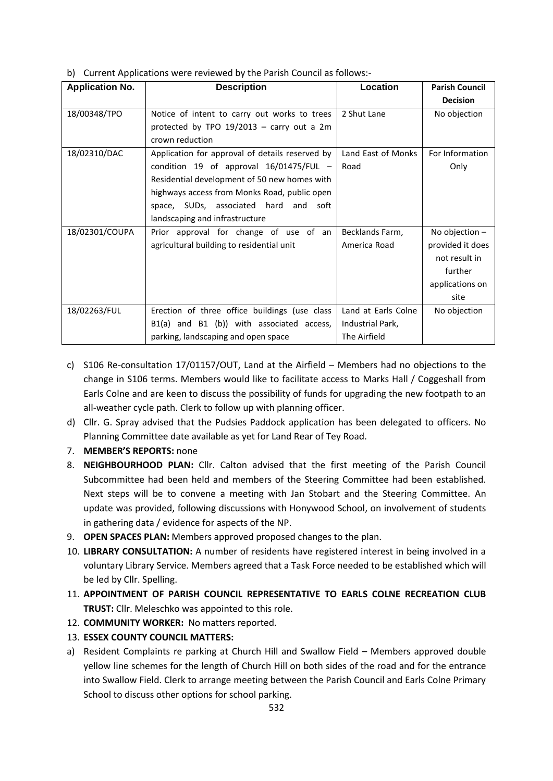b) Current Applications were reviewed by the Parish Council as follows:-

| <b>Application No.</b> | <b>Description</b>                              | Location            | <b>Parish Council</b> |
|------------------------|-------------------------------------------------|---------------------|-----------------------|
|                        |                                                 |                     | <b>Decision</b>       |
| 18/00348/TPO           | Notice of intent to carry out works to trees    | 2 Shut Lane         | No objection          |
|                        | protected by TPO $19/2013$ – carry out a 2m     |                     |                       |
|                        | crown reduction                                 |                     |                       |
| 18/02310/DAC           | Application for approval of details reserved by | Land East of Monks  | For Information       |
|                        | condition 19 of approval $16/01475/FUL$ -       | Road                | Only                  |
|                        | Residential development of 50 new homes with    |                     |                       |
|                        | highways access from Monks Road, public open    |                     |                       |
|                        | space, SUDs, associated hard and soft           |                     |                       |
|                        | landscaping and infrastructure                  |                     |                       |
| 18/02301/COUPA         | Prior approval for change of use of an          | Becklands Farm,     | No objection $-$      |
|                        | agricultural building to residential unit       | America Road        | provided it does      |
|                        |                                                 |                     | not result in         |
|                        |                                                 |                     | further               |
|                        |                                                 |                     | applications on       |
|                        |                                                 |                     | site                  |
| 18/02263/FUL           | Erection of three office buildings (use class   | Land at Earls Colne | No objection          |
|                        | B1(a) and B1 (b)) with associated access,       | Industrial Park,    |                       |
|                        | parking, landscaping and open space             | The Airfield        |                       |

- c) S106 Re-consultation 17/01157/OUT, Land at the Airfield Members had no objections to the change in S106 terms. Members would like to facilitate access to Marks Hall / Coggeshall from Earls Colne and are keen to discuss the possibility of funds for upgrading the new footpath to an all-weather cycle path. Clerk to follow up with planning officer.
- d) Cllr. G. Spray advised that the Pudsies Paddock application has been delegated to officers. No Planning Committee date available as yet for Land Rear of Tey Road.
- 7. **MEMBER'S REPORTS:** none
- 8. **NEIGHBOURHOOD PLAN:** Cllr. Calton advised that the first meeting of the Parish Council Subcommittee had been held and members of the Steering Committee had been established. Next steps will be to convene a meeting with Jan Stobart and the Steering Committee. An update was provided, following discussions with Honywood School, on involvement of students in gathering data / evidence for aspects of the NP.
- 9. **OPEN SPACES PLAN:** Members approved proposed changes to the plan.
- 10. **LIBRARY CONSULTATION:** A number of residents have registered interest in being involved in a voluntary Library Service. Members agreed that a Task Force needed to be established which will be led by Cllr. Spelling.
- 11. **APPOINTMENT OF PARISH COUNCIL REPRESENTATIVE TO EARLS COLNE RECREATION CLUB TRUST:** Cllr. Meleschko was appointed to this role.
- 12. **COMMUNITY WORKER:** No matters reported.
- 13. **ESSEX COUNTY COUNCIL MATTERS:**
- a) Resident Complaints re parking at Church Hill and Swallow Field Members approved double yellow line schemes for the length of Church Hill on both sides of the road and for the entrance into Swallow Field. Clerk to arrange meeting between the Parish Council and Earls Colne Primary School to discuss other options for school parking.